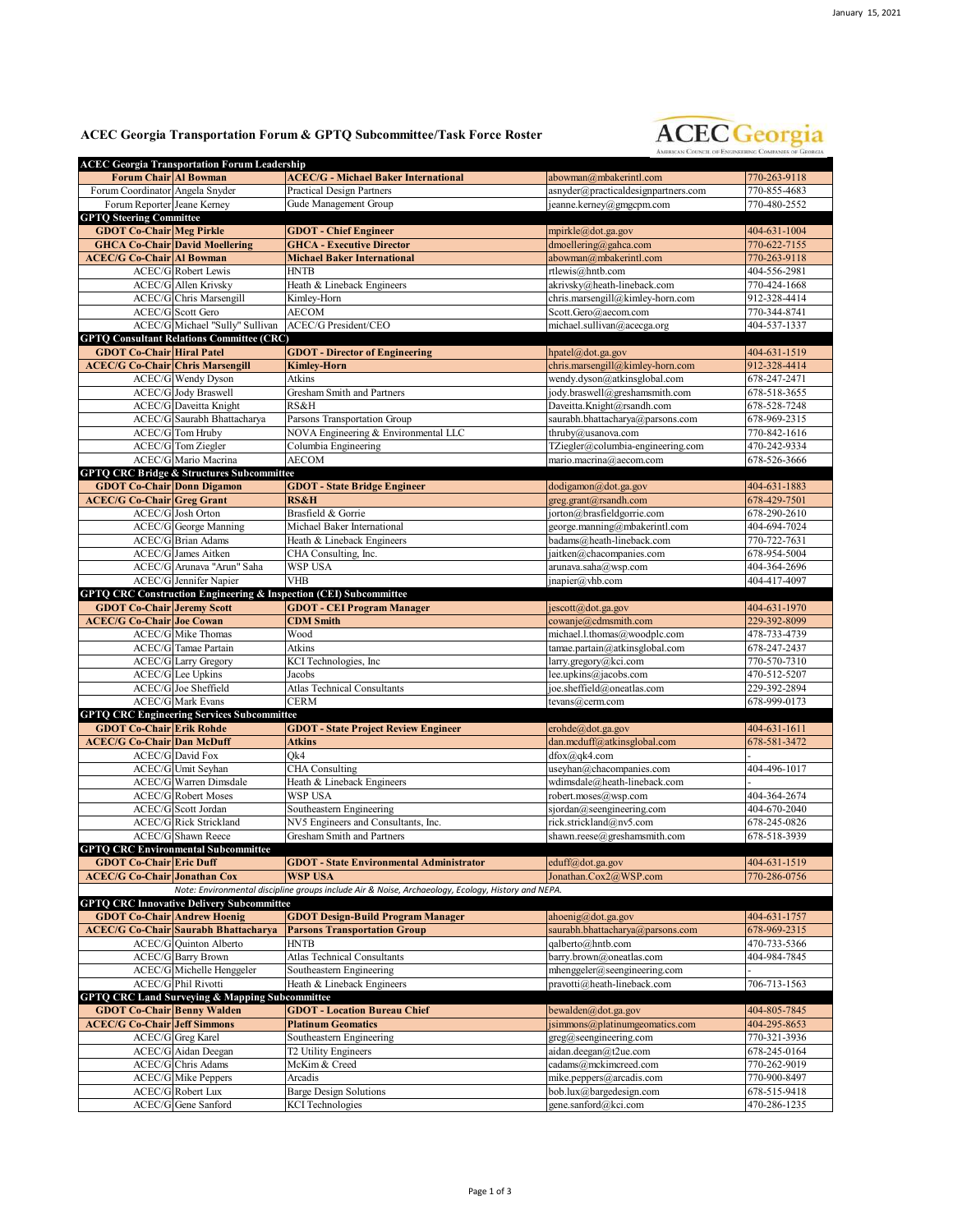## **ACEC Georgia Transportation Forum & GPTQ Subcommittee/Task Force Roster**



|                                         | <b>ACEC Georgia Transportation Forum Leadership</b>       |                                                                                                    |                                                     |                              |
|-----------------------------------------|-----------------------------------------------------------|----------------------------------------------------------------------------------------------------|-----------------------------------------------------|------------------------------|
| Forum Chair Al Bowman                   |                                                           | <b>ACEC/G - Michael Baker International</b>                                                        | abowman@mbakerintl.com                              | 770-263-9118                 |
| Forum Coordinator Angela Snyder         |                                                           | <b>Practical Design Partners</b>                                                                   | asnyder@practicaldesignpartners.com                 | 770-855-4683                 |
| Forum Reporter Jeane Kerney             |                                                           | Gude Management Group                                                                              | jeanne.kerney@gmgcpm.com                            | 770-480-2552                 |
| <b>GPTQ Steering Committee</b>          |                                                           |                                                                                                    |                                                     |                              |
| <b>GDOT Co-Chair Meg Pirkle</b>         |                                                           | <b>GDOT</b> - Chief Engineer                                                                       | mpirkle@dot.ga.gov                                  | 404-631-1004                 |
|                                         | <b>GHCA Co-Chair David Moellering</b>                     | <b>GHCA - Executive Director</b>                                                                   | dmoellering@gahca.com                               | 770-622-7155                 |
| <b>ACEC/G Co-Chair Al Bowman</b>        |                                                           | <b>Michael Baker International</b>                                                                 | abowman@mbakerintl.com                              | 770-263-9118                 |
|                                         | <b>ACEC/G</b> Robert Lewis                                | <b>HNTB</b>                                                                                        | rtlewis@hntb.com                                    | 404-556-2981                 |
|                                         | ACEC/G Allen Krivsky                                      | Heath & Lineback Engineers                                                                         | akrivsky@heath-lineback.com                         | 770-424-1668                 |
|                                         | ACEC/G Chris Marsengill                                   | Kimley-Horn                                                                                        | chris.marsengill@kimley-horn.com                    | 912-328-4414                 |
|                                         | <b>ACEC/G</b> Scott Gero                                  | <b>AECOM</b>                                                                                       | Scott.Gero@aecom.com                                | 770-344-8741                 |
|                                         | ACEC/G Michael "Sully" Sullivan                           | <b>ACEC/G President/CEO</b>                                                                        | michael.sullivan@acecga.org                         | 404-537-1337                 |
|                                         | <b>GPTQ Consultant Relations Committee (CRC)</b>          |                                                                                                    |                                                     |                              |
| <b>GDOT Co-Chair Hiral Patel</b>        |                                                           | <b>GDOT</b> - Director of Engineering                                                              | hpatel@dot.ga.gov                                   | 404-631-1519                 |
| <b>ACEC/G Co-Chair Chris Marsengill</b> |                                                           | <b>Kimley-Horn</b>                                                                                 | chris.marsengill@kimley-horn.com                    | 912-328-4414                 |
|                                         | <b>ACEC/G</b> Wendy Dyson                                 | Atkins                                                                                             | wendy.dyson@atkinsglobal.com                        | 678-247-2471                 |
|                                         | <b>ACEC/G Jody Braswell</b>                               | Gresham Smith and Partners                                                                         | jody.braswell@greshamsmith.com                      | 678-518-3655                 |
|                                         | <b>ACEC/G</b> Daveitta Knight                             | RS&H                                                                                               | Daveitta.Knight@rsandh.com                          | 678-528-7248                 |
|                                         | ACEC/G Saurabh Bhattacharya                               | Parsons Transportation Group                                                                       | saurabh.bhattacharya@parsons.com                    | 678-969-2315                 |
|                                         | <b>ACEC/G</b> Tom Hruby                                   | NOVA Engineering & Environmental LLC                                                               | thruby@usanova.com                                  | 770-842-1616                 |
|                                         | ACEC/G Tom Ziegler                                        | Columbia Engineering                                                                               | TZiegler@columbia-engineering.com                   | 470-242-9334                 |
|                                         | ACEC/G Mario Macrina                                      | <b>AECOM</b>                                                                                       | mario.macrina@aecom.com                             | 678-526-3666                 |
|                                         | <b>GPTQ CRC Bridge &amp; Structures Subcommittee</b>      |                                                                                                    |                                                     |                              |
| <b>GDOT Co-Chair Donn Digamon</b>       |                                                           | <b>GDOT</b> - State Bridge Engineer                                                                | dodigamon@dot.ga.gov                                | 404-631-1883                 |
| <b>ACEC/G Co-Chair Greg Grant</b>       |                                                           | <b>RS&amp;H</b>                                                                                    | greg.grant@rsandh.com                               | 678-429-7501                 |
|                                         | <b>ACEC/G</b> Josh Orton                                  | Brasfield & Gorrie                                                                                 | jorton@brasfieldgorrie.com                          | 678-290-2610                 |
|                                         | <b>ACEC/G</b> George Manning                              | Michael Baker International                                                                        | george.manning@mbakerintl.com                       | 404-694-7024                 |
|                                         | <b>ACEC/G</b> Brian Adams                                 | Heath & Lineback Engineers                                                                         | badams@heath-lineback.com                           | 770-722-7631                 |
|                                         | ACEC/G James Aitken                                       | CHA Consulting, Inc.                                                                               | jaitken@chacompanies.com                            | 678-954-5004                 |
|                                         | ACEC/G Arunava "Arun" Saha                                | <b>WSP USA</b>                                                                                     | arunava.saha@wsp.com                                | 404-364-2696                 |
|                                         | ACEC/G Jennifer Napier                                    | <b>VHB</b>                                                                                         | jnapier@vhb.com                                     | 404-417-4097                 |
|                                         |                                                           | GPTQ CRC Construction Engineering & Inspection (CEI) Subcommittee                                  |                                                     |                              |
| <b>GDOT Co-Chair Jeremy Scott</b>       |                                                           | <b>GDOT - CEI Program Manager</b>                                                                  | jescott@dot.ga.gov                                  | 404-631-1970                 |
| <b>ACEC/G Co-Chair Joe Cowan</b>        |                                                           | <b>CDM</b> Smith                                                                                   | cowanje@cdmsmith.com                                | 229-392-8099                 |
|                                         | ACEC/G Mike Thomas                                        | Wood                                                                                               | michael.l.thomas@woodplc.com                        | 478-733-4739                 |
|                                         | <b>ACEC/G</b> Tamae Partain                               | Atkins                                                                                             |                                                     |                              |
|                                         |                                                           |                                                                                                    | tamae.partain@atkinsglobal.com                      | 678-247-2437                 |
|                                         | <b>ACEC/G</b> Larry Gregory                               | KCI Technologies, Inc                                                                              | larry.gregory@kci.com                               | 770-570-7310                 |
|                                         | <b>ACEC/G</b> Lee Upkins                                  | Jacobs                                                                                             | lee.upkins@jacobs.com                               | 470-512-5207                 |
|                                         | ACEC/G Joe Sheffield                                      | <b>Atlas Technical Consultants</b>                                                                 | joe.sheffield@oneatlas.com                          | 229-392-2894                 |
|                                         | <b>ACEC/G Mark Evans</b>                                  | <b>CERM</b>                                                                                        | tevans@cerm.com                                     | 678-999-0173                 |
|                                         | <b>GPTQ CRC Engineering Services Subcommittee</b>         |                                                                                                    |                                                     |                              |
| <b>GDOT Co-Chair Erik Rohde</b>         |                                                           | <b>GDOT</b> - State Project Review Engineer                                                        | erohde@dot.ga.gov                                   | 404-631-1611                 |
| <b>ACEC/G Co-Chair Dan McDuff</b>       |                                                           | <b>Atkins</b>                                                                                      | dan.mcduff@atkinsglobal.com                         | 678-581-3472                 |
|                                         | <b>ACEC/G</b> David Fox                                   | Ok4                                                                                                | dfox@qk4.com                                        |                              |
|                                         | ACEC/G Umit Seyhan                                        | <b>CHA</b> Consulting                                                                              | useyhan@chacompanies.com                            | 404-496-1017                 |
|                                         | ACEC/G Warren Dimsdale                                    | Heath & Lineback Engineers                                                                         | wdimsdale@heath-lineback.com                        |                              |
|                                         | <b>ACEC/G Robert Moses</b>                                | <b>WSP USA</b>                                                                                     | robert.moses@wsp.com                                | 404-364-2674                 |
|                                         | <b>ACEC/G</b> Scott Jordan                                | Southeastern Engineering                                                                           | sjordan@seengineering.com                           | 404-670-2040                 |
|                                         | <b>ACEC/G Rick Strickland</b>                             | NV5 Engineers and Consultants, Inc.                                                                | rick.strickland@nv5.com                             | 678-245-0826                 |
|                                         | <b>ACEC/G</b> Shawn Reece                                 | Gresham Smith and Partners                                                                         | shawn.reese@greshamsmith.com                        | 678-518-3939                 |
|                                         | <b>GPTO CRC Environmental Subcommittee</b>                |                                                                                                    |                                                     |                              |
| <b>GDOT Co-Chair Eric Duff</b>          |                                                           | <b>GDOT</b> - State Environmental Administrator                                                    | eduff@dot.ga.gov                                    | 404-631-1519                 |
| <b>ACEC/G Co-Chair Jonathan Cox</b>     |                                                           | <b>WSP USA</b>                                                                                     | Jonathan.Cox2@WSP.com                               | 770-286-0756                 |
|                                         |                                                           | Note: Environmental discipline groups include Air & Noise, Archaeology, Ecology, History and NEPA. |                                                     |                              |
|                                         | <b>GPTO CRC Innovative Delivery Subcommittee</b>          |                                                                                                    |                                                     |                              |
| <b>GDOT Co-Chair Andrew Hoenig</b>      |                                                           | <b>GDOT Design-Build Program Manager</b>                                                           | ahoenig@dot.ga.gov                                  | 404-631-1757                 |
|                                         | <b>ACEC/G Co-Chair Saurabh Bhattacharva</b>               | <b>Parsons Transportation Group</b>                                                                | saurabh.bhattacharya@parsons.com                    | 678-969-2315                 |
|                                         | <b>ACEC/G</b> Quinton Alberto                             | <b>HNTB</b>                                                                                        | qalberto@hntb.com                                   | 470-733-5366                 |
|                                         | <b>ACEC/G Barry Brown</b>                                 | <b>Atlas Technical Consultants</b>                                                                 | barry.brown@oneatlas.com                            | 404-984-7845                 |
|                                         | ACEC/G Michelle Henggeler<br><b>ACEC/G Phil Rivotti</b>   | Southeastern Engineering                                                                           | mhenggeler@seengineering.com                        |                              |
|                                         |                                                           | Heath & Lineback Engineers                                                                         | pravotti@heath-lineback.com                         | 706-713-1563                 |
|                                         | <b>GPTQ CRC Land Surveying &amp; Mapping Subcommittee</b> |                                                                                                    |                                                     |                              |
| <b>GDOT Co-Chair Benny Walden</b>       |                                                           | <b>GDOT</b> - Location Bureau Chief                                                                | bewalden@dot.ga.gov                                 | 404-805-7845                 |
| <b>ACEC/G Co-Chair Jeff Simmons</b>     |                                                           | <b>Platinum Geomatics</b>                                                                          | jsimmons@platinumgeomatics.com                      | 404-295-8653                 |
|                                         | ACEC/G Greg Karel                                         | Southeastern Engineering                                                                           | greg@seengineering.com                              | 770-321-3936                 |
|                                         | ACEC/G Aidan Deegan                                       | T2 Utility Engineers                                                                               | aidan.deegan@t2ue.com                               | 678-245-0164                 |
|                                         | <b>ACEC/G</b> Chris Adams                                 | McKim & Creed                                                                                      | cadams@mckimcreed.com                               | 770-262-9019                 |
|                                         | <b>ACEC/G Mike Peppers</b><br><b>ACEC/G</b> Robert Lux    | Arcadis<br><b>Barge Design Solutions</b>                                                           | mike.peppers@arcadis.com<br>bob.lux@bargedesign.com | 770-900-8497<br>678-515-9418 |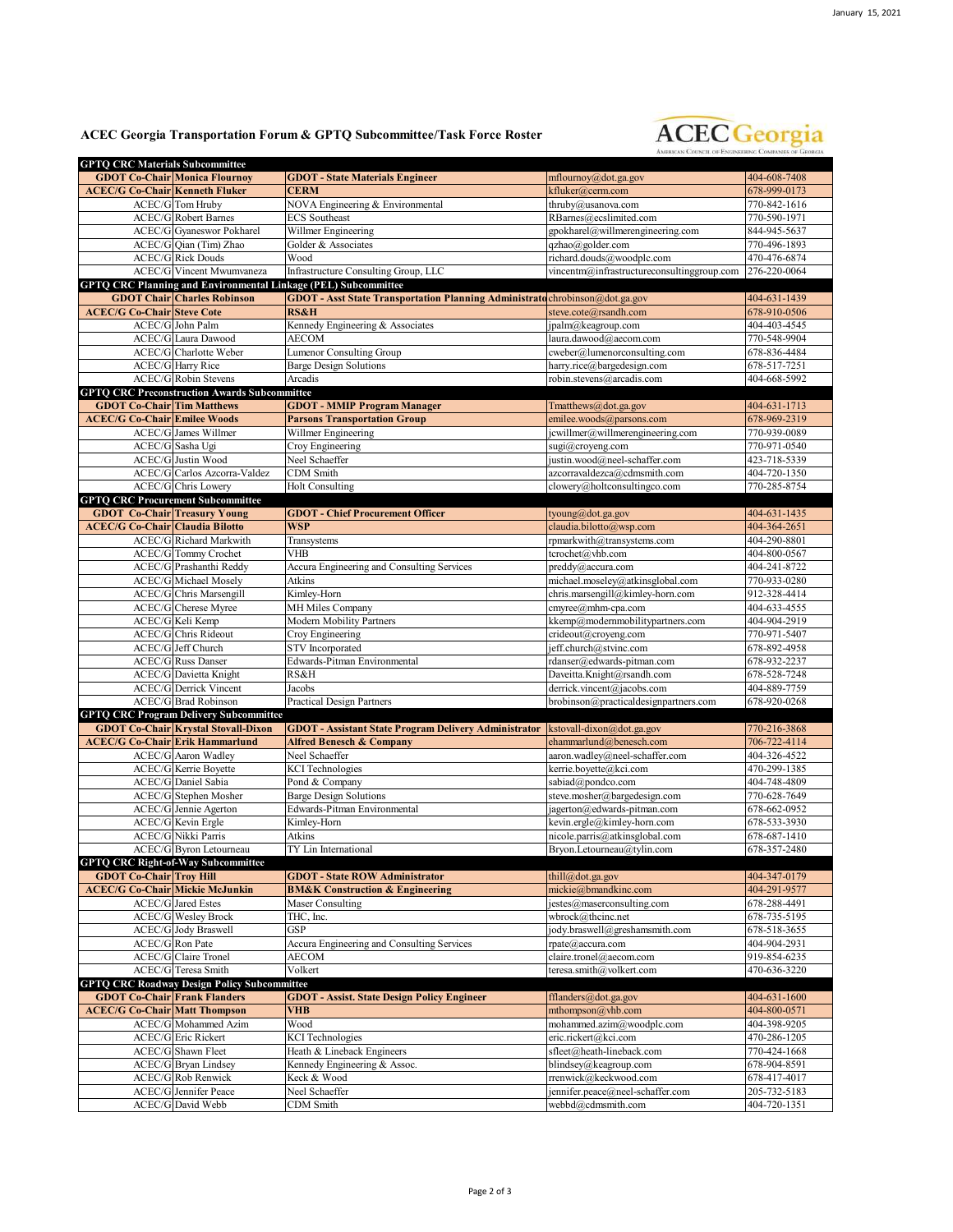## **ACEC Georgia Transportation Forum & GPTQ Subcommittee/Task Force Roster**



| <b>GPTQ CRC Materials Subcommittee</b>                                      |                                                          |                                                                              |                                                   |                              |
|-----------------------------------------------------------------------------|----------------------------------------------------------|------------------------------------------------------------------------------|---------------------------------------------------|------------------------------|
|                                                                             | <b>GDOT Co-Chair Monica Flournoy</b>                     | <b>GDOT</b> - State Materials Engineer                                       | mflournoy@dot.ga.gov                              | 404-608-7408                 |
| <b>ACEC/G Co-Chair Kenneth Fluker</b>                                       |                                                          | <b>CERM</b>                                                                  | kfluker@cerm.com                                  | 678-999-0173                 |
|                                                                             | <b>ACEC/G</b> Tom Hruby                                  | NOVA Engineering & Environmental                                             | thruby@usanova.com                                | 770-842-1616                 |
|                                                                             | <b>ACEC/G</b> Robert Barnes                              | <b>ECS</b> Southeast                                                         | RBarnes@ecslimited.com                            | 770-590-1971                 |
|                                                                             | <b>ACEC/G</b> Gyaneswor Pokharel                         | Willmer Engineering                                                          | gpokharel@willmerengineering.com                  | 844-945-5637                 |
|                                                                             | ACEC/G Qian (Tim) Zhao                                   | Golder & Associates                                                          | qzhao@golder.com                                  | 770-496-1893                 |
|                                                                             | <b>ACEC/G</b> Rick Douds                                 | Wood                                                                         | richard.douds@woodplc.com                         | 470-476-6874                 |
|                                                                             | <b>ACEC/G Vincent Mwumvaneza</b>                         | Infrastructure Consulting Group, LLC                                         | vincentm@infrastructureconsultinggroup.com        | 276-220-0064                 |
|                                                                             |                                                          | GPTQ CRC Planning and Environmental Linkage (PEL) Subcommittee               |                                                   |                              |
|                                                                             | <b>GDOT Chair Charles Robinson</b>                       | GDOT - Asst State Transportation Planning Administrato chrobinson@dot.ga.gov |                                                   | 404-631-1439                 |
| <b>ACEC/G Co-Chair Steve Cote</b>                                           |                                                          | <b>RS&amp;H</b>                                                              | steve.cote@rsandh.com                             | 678-910-0506                 |
|                                                                             | ACEC/G John Palm                                         | Kennedy Engineering & Associates                                             | ipalm@keagroup.com                                | 404-403-4545                 |
|                                                                             | ACEC/G Laura Dawood                                      | AECOM                                                                        | laura.dawood@aecom.com                            | 770-548-9904                 |
|                                                                             | ACEC/G Charlotte Weber                                   | <b>Lumenor Consulting Group</b>                                              | $cweber@$ lumenorconsulting.com                   | 678-836-4484                 |
|                                                                             | <b>ACEC/G</b> Harry Rice                                 | <b>Barge Design Solutions</b>                                                | harry.rice@bargedesign.com                        | 678-517-7251                 |
|                                                                             | <b>ACEC/G</b> Robin Stevens                              | Arcadis                                                                      | robin.stevens@arcadis.com                         | 404-668-5992                 |
|                                                                             | <b>GPTQ CRC Preconstruction Awards Subcommittee</b>      |                                                                              |                                                   |                              |
| <b>GDOT Co-Chair Tim Matthews</b>                                           |                                                          | <b>GDOT - MMIP Program Manager</b>                                           | Tmatthews@dot.ga.gov                              | 404-631-1713                 |
| <b>ACEC/G Co-Chair Emilee Woods</b>                                         |                                                          | <b>Parsons Transportation Group</b>                                          | emilee.woods@parsons.com                          | 678-969-2319                 |
|                                                                             | ACEC/G James Willmer                                     | Willmer Engineering                                                          | jcwillmer@willmerengineering.com                  | 770-939-0089                 |
|                                                                             | ACEC/G Sasha Ugi                                         | Croy Engineering                                                             | sugi@croyeng.com                                  | 770-971-0540                 |
|                                                                             | <b>ACEC/G Justin Wood</b>                                | Neel Schaeffer                                                               | justin.wood@neel-schaffer.com                     | 423-718-5339                 |
|                                                                             | ACEC/G Carlos Azcorra-Valdez                             | CDM Smith                                                                    | azcorravaldezca@cdmsmith.com                      | 404-720-1350                 |
|                                                                             | ACEC/G Chris Lowery                                      | <b>Holt Consulting</b>                                                       | clowery@holtconsultingco.com                      | 770-285-8754                 |
|                                                                             | <b>GPTQ CRC Procurement Subcommittee</b>                 |                                                                              |                                                   |                              |
| <b>GDOT Co-Chair Treasury Young</b>                                         |                                                          | <b>GDOT</b> - Chief Procurement Officer                                      | tyoung@dot.ga.gov                                 | 404-631-1435                 |
| <b>ACEC/G Co-Chair Claudia Bilotto</b>                                      |                                                          | <b>WSP</b>                                                                   | claudia.bilotto@wsp.com                           | 404-364-2651                 |
|                                                                             | <b>ACEC/G</b> Richard Markwith                           | Transystems                                                                  | rpmarkwith@transystems.com                        | 404-290-8801                 |
|                                                                             | <b>ACEC/G</b> Tommy Crochet                              | VHB                                                                          | tcrochet@vhb.com                                  | 404-800-0567                 |
|                                                                             | ACEC/G Prashanthi Reddy                                  | Accura Engineering and Consulting Services                                   | preddy@accura.com                                 | 404-241-8722                 |
|                                                                             | <b>ACEC/G</b> Michael Moselv                             | Atkins                                                                       | michael.moseley@atkinsglobal.com                  | 770-933-0280                 |
|                                                                             | ACEC/G Chris Marsengill                                  | Kimley-Horn                                                                  | chris.marsengill@kimley-horn.com                  | 912-328-4414                 |
|                                                                             | ACEC/G Cherese Myree                                     | MH Miles Company                                                             | cmyree@mhm-cpa.com                                | 404-633-4555                 |
|                                                                             | ACEC/G Keli Kemp                                         | Modern Mobility Partners                                                     | kkemp@modernmobilitypartners.com                  | 404-904-2919                 |
|                                                                             | <b>ACEC/G</b> Chris Rideout                              | Croy Engineering                                                             | crideout@croyeng.com                              | 770-971-5407                 |
|                                                                             | <b>ACEC/G</b> Jeff Church                                | <b>STV</b> Incorporated                                                      | jeff.church@stvinc.com                            | 678-892-4958                 |
|                                                                             | <b>ACEC/G Russ Danser</b>                                | Edwards-Pitman Environmental                                                 | rdanser@edwards-pitman.com                        | 678-932-2237                 |
|                                                                             |                                                          |                                                                              |                                                   |                              |
|                                                                             | <b>ACEC/G</b> Davietta Knight                            | RS&H                                                                         | Daveitta.Knight@rsandh.com                        | 678-528-7248                 |
|                                                                             | <b>ACEC/G</b> Derrick Vincent                            | Jacobs                                                                       | derrick.vincent@jacobs.com                        | 404-889-7759                 |
|                                                                             | <b>ACEC/G</b> Brad Robinson                              | <b>Practical Design Partners</b>                                             | brobinson@practicaldesignpartners.com             | 678-920-0268                 |
|                                                                             | <b>GPTQ CRC Program Delivery Subcommittee</b>            |                                                                              |                                                   |                              |
|                                                                             | <b>GDOT Co-Chair Krystal Stovall-Dixon</b>               | <b>GDOT</b> - Assistant State Program Delivery Administrator                 | kstovall-dixon@dot.ga.gov                         | 770-216-3868                 |
| <b>ACEC/G Co-Chair Erik Hammarlund</b>                                      |                                                          | <b>Alfred Benesch &amp; Company</b>                                          | ehammarlund@benesch.com                           | 706-722-4114                 |
|                                                                             | <b>ACEC/G</b> Aaron Wadley                               | Neel Schaeffer                                                               | aaron.wadley@neel-schaffer.com                    | 404-326-4522                 |
|                                                                             | <b>ACEC/G</b> Kerrie Boyette                             | <b>KCI</b> Technologies                                                      | kerrie.boyette@kci.com                            | 470-299-1385                 |
|                                                                             | ACEC/G Daniel Sabia                                      | Pond & Company                                                               | sabiad@pondco.com                                 | 404-748-4809                 |
|                                                                             | ACEC/G Stephen Mosher                                    | <b>Barge Design Solutions</b>                                                | steve.mosher@bargedesign.com                      | 770-628-7649                 |
|                                                                             | ACEC/G Jennie Agerton                                    | Edwards-Pitman Environmental                                                 | jagerton@edwards-pitman.com                       | 678-662-0952                 |
|                                                                             | ACEC/G Kevin Ergle                                       | Kimley-Horn                                                                  | kevin.ergle@kimley-horn.com                       | 678-533-3930                 |
|                                                                             | <b>ACEC/G Nikki Parris</b>                               | Atkins                                                                       | nicole.parris@atkinsglobal.com                    | 678-687-1410                 |
|                                                                             | <b>ACEC/G</b> Byron Letourneau                           | TY Lin International                                                         | Bryon.Letourneau@tylin.com                        | 678-357-2480                 |
|                                                                             | <b>GPTQ CRC Right-of-Way Subcommittee</b>                |                                                                              |                                                   |                              |
| <b>GDOT Co-Chair Troy Hill</b>                                              |                                                          | <b>GDOT</b> - State ROW Administrator                                        | thill@dot.ga.gov                                  | 404-347-0179                 |
| <b>ACEC/G Co-Chair Mickie McJunkin</b>                                      |                                                          | <b>BM&amp;K Construction &amp; Engineering</b>                               | mickie@bmandkinc.com                              | 404-291-9577                 |
|                                                                             | <b>ACEC/G</b> Jared Estes                                | Maser Consulting                                                             | jestes@maserconsulting.com                        | 678-288-4491                 |
|                                                                             | <b>ACEC/G Wesley Brock</b>                               | THC, Inc.                                                                    | wbrock@thcinc.net                                 | 678-735-5195                 |
|                                                                             | <b>ACEC/G Jody Braswell</b>                              | <b>GSP</b>                                                                   | jody.braswell@greshamsmith.com                    | 678-518-3655                 |
|                                                                             | <b>ACEC/G</b> Ron Pate                                   | Accura Engineering and Consulting Services                                   | rpate@accura.com                                  | 404-904-2931                 |
|                                                                             | <b>ACEC/G</b> Claire Tronel<br>ACEC/G Teresa Smith       | AECOM<br>Volkert                                                             | claire.tronel@aecom.com                           | 919-854-6235                 |
|                                                                             | <b>GPTO CRC Roadway Design Policy Subcommittee</b>       |                                                                              | teresa.smith@volkert.com                          | 470-636-3220                 |
|                                                                             |                                                          |                                                                              |                                                   |                              |
| <b>GDOT Co-Chair Frank Flanders</b><br><b>ACEC/G Co-Chair Matt Thompson</b> |                                                          | <b>GDOT</b> - Assist. State Design Policy Engineer<br><b>VHB</b>             | fflanders@dot.ga.gov                              | 404-631-1600<br>404-800-0571 |
|                                                                             |                                                          |                                                                              | mthompson@vhb.com                                 |                              |
|                                                                             | ACEC/G Mohammed Azim                                     | Wood                                                                         | mohammed.azim@woodplc.com                         | 404-398-9205                 |
|                                                                             | <b>ACEC/G</b> Eric Rickert<br>ACEC/G Shawn Fleet         | <b>KCI</b> Technologies                                                      | eric.rickert@kci.com<br>sfleet@heath-lineback.com | 470-286-1205                 |
|                                                                             |                                                          | Heath & Lineback Engineers                                                   |                                                   | 770-424-1668                 |
|                                                                             | <b>ACEC/G</b> Bryan Lindsey<br><b>ACEC/G Rob Renwick</b> | Kennedy Engineering & Assoc.<br>Keck & Wood                                  | blindsey@keagroup.com<br>rrenwick@keckwood.com    | 678-904-8591                 |
|                                                                             |                                                          |                                                                              | jennifer.peace@neel-schaffer.com                  | 678-417-4017                 |
|                                                                             | ACEC/G Jennifer Peace                                    | Neel Schaeffer                                                               |                                                   | 205-732-5183                 |
|                                                                             | <b>ACEC/G</b> David Webb                                 | CDM Smith                                                                    | webbd@cdmsmith.com                                | 404-720-1351                 |